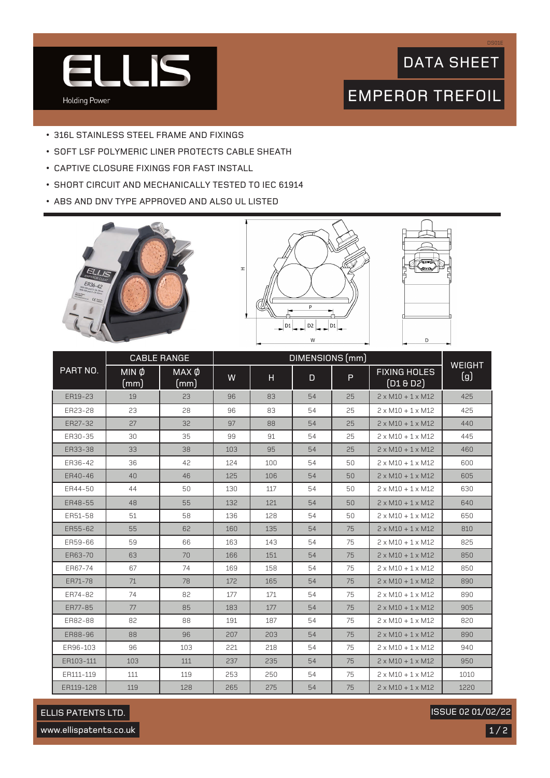

## DATA SHEET

DS01E

# EMPEROR TREFOIL

- 316L STAINLESS STEEL FRAME AND FIXINGS
- SOFT LSF POLYMERIC LINER PROTECTS CABLE SHEATH
- CAPTIVE CLOSURE FIXINGS FOR FAST INSTALL
- SHORT CIRCUIT AND MECHANICALLY TESTED TO IEC 61914
- ABS AND DNV TYPE APPROVED AND ALSO UL LISTED







|           | <b>CABLE RANGE</b>              |               | DIMENSIONS (mm) |     |    |    |                                  |                      |
|-----------|---------------------------------|---------------|-----------------|-----|----|----|----------------------------------|----------------------|
| PART NO.  | $\overline{MIN}$ $\phi$<br>(mm) | MAX Ø<br>(mm) | W               | H   | D  | P  | <b>FIXING HOLES</b><br>(D1 & D2) | <b>WEIGHT</b><br>(g) |
| ER19-23   | 19                              | 23            | 96              | 83  | 54 | 25 | $2 \times M10 + 1 \times M12$    | 425                  |
| ER23-28   | 23                              | 28            | 96              | 83  | 54 | 25 | $2 \times M10 + 1 \times M12$    | 425                  |
| ER27-32   | 27                              | 32            | 97              | 88  | 54 | 25 | $2 \times M10 + 1 \times M12$    | 440                  |
| ER30-35   | 30                              | 35            | 99              | 91  | 54 | 25 | $2 \times M10 + 1 \times M12$    | 445                  |
| ER33-38   | 33                              | 38            | 103             | 95  | 54 | 25 | $2 \times M10 + 1 \times M12$    | 460                  |
| ER36-42   | 36                              | 42            | 124             | 100 | 54 | 50 | $2 \times M10 + 1 \times M12$    | 600                  |
| ER40-46   | 40                              | 46            | 125             | 106 | 54 | 50 | $2 \times M10 + 1 \times M12$    | 605                  |
| ER44-50   | 44                              | 50            | 130             | 117 | 54 | 50 | $2 \times M10 + 1 \times M12$    | 630                  |
| ER48-55   | 48                              | 55            | 132             | 121 | 54 | 50 | $2 \times M10 + 1 \times M12$    | 640                  |
| ER51-58   | 51                              | 58            | 136             | 128 | 54 | 50 | $2 \times M10 + 1 \times M12$    | 650                  |
| ER55-62   | 55                              | 62            | 160             | 135 | 54 | 75 | $2 \times M10 + 1 \times M12$    | 810                  |
| ER59-66   | 59                              | 66            | 163             | 143 | 54 | 75 | $2 \times M10 + 1 \times M12$    | 825                  |
| ER63-70   | 63                              | 70            | 166             | 151 | 54 | 75 | $2 \times M10 + 1 \times M12$    | 850                  |
| ER67-74   | 67                              | 74            | 169             | 158 | 54 | 75 | $2 \times M10 + 1 \times M12$    | 850                  |
| ER71-78   | 71                              | 78            | 172             | 165 | 54 | 75 | $2 \times M10 + 1 \times M12$    | 890                  |
| ER74-82   | 74                              | 82            | 177             | 171 | 54 | 75 | $2 \times M10 + 1 \times M12$    | 890                  |
| ER77-85   | 77                              | 85            | 183             | 177 | 54 | 75 | $2 \times M10 + 1 \times M12$    | 905                  |
| ER82-88   | 82                              | 88            | 191             | 187 | 54 | 75 | $2 \times M10 + 1 \times M12$    | 820                  |
| ER88-96   | 88                              | 96            | 207             | 203 | 54 | 75 | $2 \times M10 + 1 \times M12$    | 890                  |
| ER96-103  | 96                              | 103           | 221             | 218 | 54 | 75 | $2 \times M10 + 1 \times M12$    | 940                  |
| ER103-111 | 103                             | 111           | 237             | 235 | 54 | 75 | $2 \times M10 + 1 \times M12$    | 950                  |
| ER111-119 | 111                             | 119           | 253             | 250 | 54 | 75 | $2 \times M10 + 1 \times M12$    | 1010                 |
| ER119-128 | 119                             | 128           | 265             | 275 | 54 | 75 | $2 \times M10 + 1 \times M12$    | 1220                 |

#### ELLIS PATENTS LTD.

ISSUE 02 01/02/22

www.ellispatents.co.uk